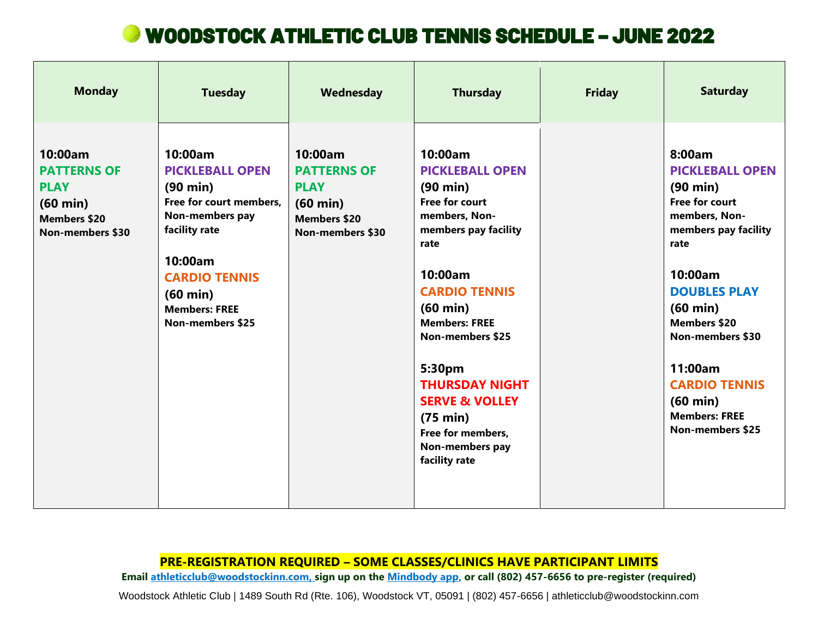# WOODSTOCK ATHLETIC CLUB TENNIS SCHEDULE – JUNE 2022

| <b>Monday</b>                                                                                                        | <b>Tuesday</b>                                                                                                                                                                                                                     | Wednesday                                                                                                            | <b>Thursday</b>                                                                                                                                                                                                                                                                                                                                                                              | <b>Friday</b> | <b>Saturday</b>                                                                                                                                                                                                                                                                                                                                        |
|----------------------------------------------------------------------------------------------------------------------|------------------------------------------------------------------------------------------------------------------------------------------------------------------------------------------------------------------------------------|----------------------------------------------------------------------------------------------------------------------|----------------------------------------------------------------------------------------------------------------------------------------------------------------------------------------------------------------------------------------------------------------------------------------------------------------------------------------------------------------------------------------------|---------------|--------------------------------------------------------------------------------------------------------------------------------------------------------------------------------------------------------------------------------------------------------------------------------------------------------------------------------------------------------|
| 10:00am<br><b>PATTERNS OF</b><br><b>PLAY</b><br>$(60 \text{ min})$<br><b>Members \$20</b><br><b>Non-members \$30</b> | 10:00am<br><b>PICKLEBALL OPEN</b><br>$(90 \text{ min})$<br>Free for court members,<br>Non-members pay<br>facility rate<br>10:00am<br><b>CARDIO TENNIS</b><br>$(60 \text{ min})$<br><b>Members: FREE</b><br><b>Non-members \$25</b> | 10:00am<br><b>PATTERNS OF</b><br><b>PLAY</b><br>$(60 \text{ min})$<br><b>Members \$20</b><br><b>Non-members \$30</b> | 10:00am<br><b>PICKLEBALL OPEN</b><br>$(90 \text{ min})$<br><b>Free for court</b><br>members, Non-<br>members pay facility<br>rate<br>10:00am<br><b>CARDIO TENNIS</b><br>$(60 \text{ min})$<br><b>Members: FREE</b><br><b>Non-members \$25</b><br>5:30pm<br><b>THURSDAY NIGHT</b><br><b>SERVE &amp; VOLLEY</b><br>$(75 \text{ min})$<br>Free for members,<br>Non-members pay<br>facility rate |               | 8:00am<br><b>PICKLEBALL OPEN</b><br>$(90 \text{ min})$<br><b>Free for court</b><br>members, Non-<br>members pay facility<br>rate<br>10:00am<br><b>DOUBLES PLAY</b><br>$(60 \text{ min})$<br><b>Members \$20</b><br><b>Non-members \$30</b><br>11:00am<br><b>CARDIO TENNIS</b><br>$(60 \text{ min})$<br><b>Members: FREE</b><br><b>Non-members \$25</b> |

## **PRE-REGISTRATION REQUIRED – SOME CLASSES/CLINICS HAVE PARTICIPANT LIMITS**

**Email [athleticclub@woodstockinn.com,](mailto:athleticclub@woodstockinn.com) sign up on the [Mindbody app,](https://explore.mindbodyonline.com/mindbody-app) or call (802) 457-6656 to pre-register (required)** 

Woodstock Athletic Club | 1489 South Rd (Rte. 106), Woodstock VT, 05091 | (802) 457-6656 | athleticclub@woodstockinn.com